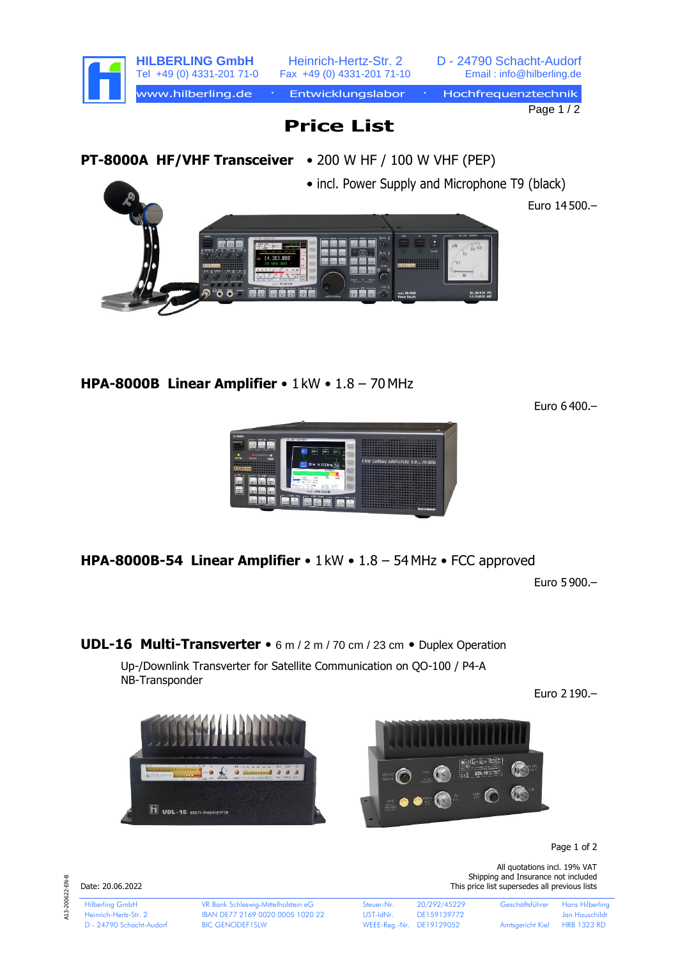



**HPA-8000B Linear Amplifier** • 1 kW • 1.8 – 70 MHz

Euro 6 400.–



**HPA-8000B-54 Linear Amplifier** • 1 kW • 1.8 – 54MHz • FCC approved

Euro 5 900.–

**UDL-16 Multi-Transverter** • 6 m / 2 m / 70 cm / 23 cm • Duplex Operation

Up-/Downlink Transverter for Satellite Communication on QO-100 / P4-A NB-Transponder

Euro 2 190.–





Page 1 of 2

A13-200622-EN-B A13-200622-EN-B

Date: 20.06.2022 This price list supersedes all previous lists

Hilberling GmbH VR Bank Schleswig-Mittelholstein eG Steuer-Nr. 20/292/45229 Geschäftsführer Hans Hilberling Heinrich-Hertz-Str. 2 IBAN DE77 2169 0020 0005 1020 22 UST-IdNr. DE159139772 Jan Hauschildt D - 24790 Schacht-Audorf BIC GENODEF1SLW WEEE-Reg.-Nr. DE19129052 Amtsgericht Kiel HRB 1323 RD

All quotations incl. 19% VAT Shipping and Insurance not included